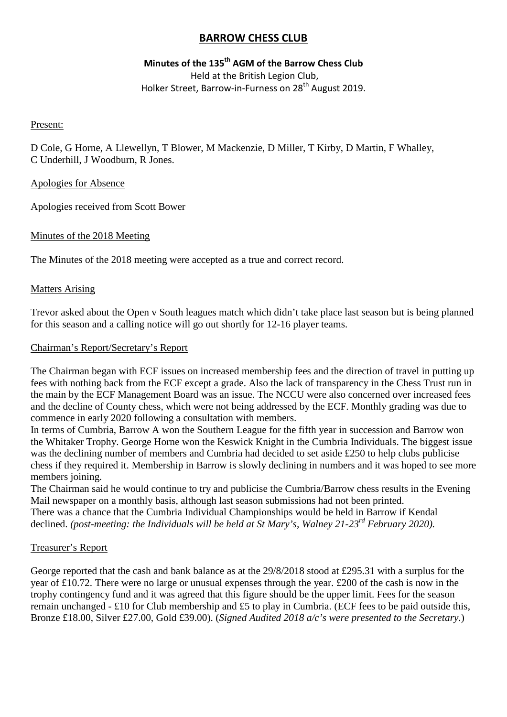# **BARROW CHESS CLUB**

# **Minutes of the 135th AGM of the Barrow Chess Club**

Held at the British Legion Club, Holker Street, Barrow-in-Furness on 28<sup>th</sup> August 2019.

## Present:

D Cole, G Horne, A Llewellyn, T Blower, M Mackenzie, D Miller, T Kirby, D Martin, F Whalley, C Underhill, J Woodburn, R Jones.

## Apologies for Absence

Apologies received from Scott Bower

# Minutes of the 2018 Meeting

The Minutes of the 2018 meeting were accepted as a true and correct record.

## Matters Arising

Trevor asked about the Open v South leagues match which didn't take place last season but is being planned for this season and a calling notice will go out shortly for 12-16 player teams.

## Chairman's Report/Secretary's Report

The Chairman began with ECF issues on increased membership fees and the direction of travel in putting up fees with nothing back from the ECF except a grade. Also the lack of transparency in the Chess Trust run in the main by the ECF Management Board was an issue. The NCCU were also concerned over increased fees and the decline of County chess, which were not being addressed by the ECF. Monthly grading was due to commence in early 2020 following a consultation with members.

In terms of Cumbria, Barrow A won the Southern League for the fifth year in succession and Barrow won the Whitaker Trophy. George Horne won the Keswick Knight in the Cumbria Individuals. The biggest issue was the declining number of members and Cumbria had decided to set aside £250 to help clubs publicise chess if they required it. Membership in Barrow is slowly declining in numbers and it was hoped to see more members joining.

The Chairman said he would continue to try and publicise the Cumbria/Barrow chess results in the Evening Mail newspaper on a monthly basis, although last season submissions had not been printed.

There was a chance that the Cumbria Individual Championships would be held in Barrow if Kendal declined. *(post-meeting: the Individuals will be held at St Mary's, Walney 21-23rd February 2020).*

# Treasurer's Report

George reported that the cash and bank balance as at the 29/8/2018 stood at £295.31 with a surplus for the year of £10.72. There were no large or unusual expenses through the year. £200 of the cash is now in the trophy contingency fund and it was agreed that this figure should be the upper limit. Fees for the season remain unchanged - £10 for Club membership and £5 to play in Cumbria. (ECF fees to be paid outside this, Bronze £18.00, Silver £27.00, Gold £39.00). (*Signed Audited 2018 a/c's were presented to the Secretary.*)